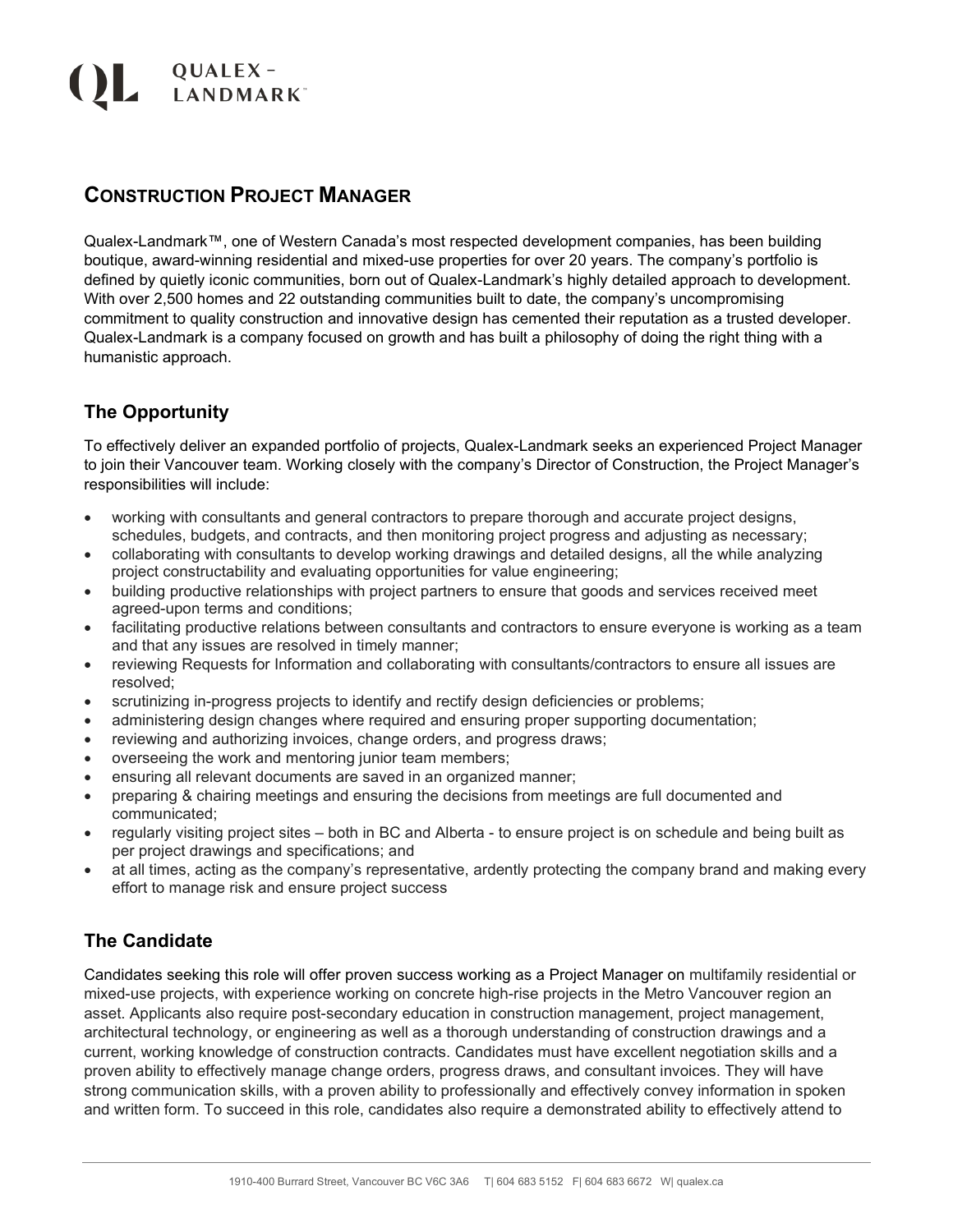# QUALEX-<br>ANDMARK

## **CONSTRUCTION PROJECT MANAGER**

Qualex-Landmark™, one of Western Canada's most respected development companies, has been building boutique, award-winning residential and mixed-use properties for over 20 years. The company's portfolio is defined by quietly iconic communities, born out of Qualex-Landmark's highly detailed approach to development. With over 2,500 homes and 22 outstanding communities built to date, the company's uncompromising commitment to quality construction and innovative design has cemented their reputation as a trusted developer. Qualex-Landmark is a company focused on growth and has built a philosophy of doing the right thing with a humanistic approach.

#### **The Opportunity**

To effectively deliver an expanded portfolio of projects, Qualex-Landmark seeks an experienced Project Manager to join their Vancouver team. Working closely with the company's Director of Construction, the Project Manager's responsibilities will include:

- working with consultants and general contractors to prepare thorough and accurate project designs, schedules, budgets, and contracts, and then monitoring project progress and adjusting as necessary;
- collaborating with consultants to develop working drawings and detailed designs, all the while analyzing project constructability and evaluating opportunities for value engineering;
- building productive relationships with project partners to ensure that goods and services received meet agreed-upon terms and conditions;
- facilitating productive relations between consultants and contractors to ensure everyone is working as a team and that any issues are resolved in timely manner;
- reviewing Requests for Information and collaborating with consultants/contractors to ensure all issues are resolved;
- scrutinizing in-progress projects to identify and rectify design deficiencies or problems;
- administering design changes where required and ensuring proper supporting documentation;
- reviewing and authorizing invoices, change orders, and progress draws;
- overseeing the work and mentoring junior team members;
- ensuring all relevant documents are saved in an organized manner;
- preparing & chairing meetings and ensuring the decisions from meetings are full documented and communicated;
- regularly visiting project sites both in BC and Alberta to ensure project is on schedule and being built as per project drawings and specifications; and
- at all times, acting as the company's representative, ardently protecting the company brand and making every effort to manage risk and ensure project success

### **The Candidate**

Candidates seeking this role will offer proven success working as a Project Manager on multifamily residential or mixed-use projects, with experience working on concrete high-rise projects in the Metro Vancouver region an asset. Applicants also require post-secondary education in construction management, project management, architectural technology, or engineering as well as a thorough understanding of construction drawings and a current, working knowledge of construction contracts. Candidates must have excellent negotiation skills and a proven ability to effectively manage change orders, progress draws, and consultant invoices. They will have strong communication skills, with a proven ability to professionally and effectively convey information in spoken and written form. To succeed in this role, candidates also require a demonstrated ability to effectively attend to